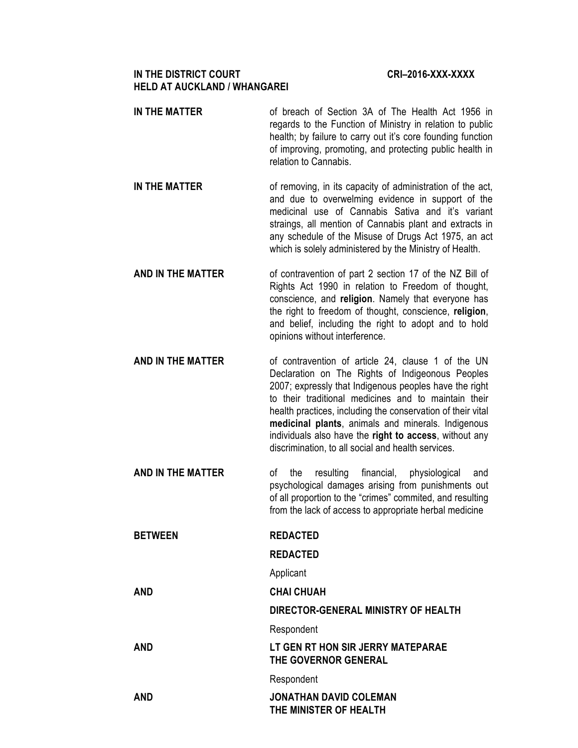# **IN THE DISTRICT COURT COURT COURT COURT COURT COURT COURT COURT COURT COURT COURT COURT COURT COURT COURT COURT HELD AT AUCKLAND / WHANGAREI**

- **IN THE MATTER** of breach of Section 3A of The Health Act 1956 in regards to the Function of Ministry in relation to public health; by failure to carry out it's core founding function of improving, promoting, and protecting public health in relation to Cannabis.
- **IN THE MATTER** of removing, in its capacity of administration of the act, and due to overwelming evidence in support of the medicinal use of Cannabis Sativa and it's variant straings, all mention of Cannabis plant and extracts in any schedule of the Misuse of Drugs Act 1975, an act which is solely administered by the Ministry of Health.
- **AND IN THE MATTER** of contravention of part 2 section 17 of the NZ Bill of Rights Act 1990 in relation to Freedom of thought, conscience, and **religion**. Namely that everyone has the right to freedom of thought, conscience, **religion**, and belief, including the right to adopt and to hold opinions without interference.
- **AND IN THE MATTER** of contravention of article 24, clause 1 of the UN Declaration on The Rights of Indigeonous Peoples 2007; expressly that Indigenous peoples have the right to their traditional medicines and to maintain their health practices, including the conservation of their vital **medicinal plants**, animals and minerals. Indigenous individuals also have the **right to access**, without any discrimination, to all social and health services.
- **AND IN THE MATTER** of the resulting financial, physiological and psychological damages arising from punishments out of all proportion to the "crimes" commited, and resulting from the lack of access to appropriate herbal medicine
- **BETWEEN REDACTED**

# **REDACTED**

Applicant

- **AND CHAI CHUAH**
- **DIRECTOR-GENERAL MINISTRY OF HEALTH**  Respondent **AND LT GEN RT HON SIR JERRY MATEPARAE THE GOVERNOR GENERAL** Respondent **AND JONATHAN DAVID COLEMAN THE MINISTER OF HEALTH**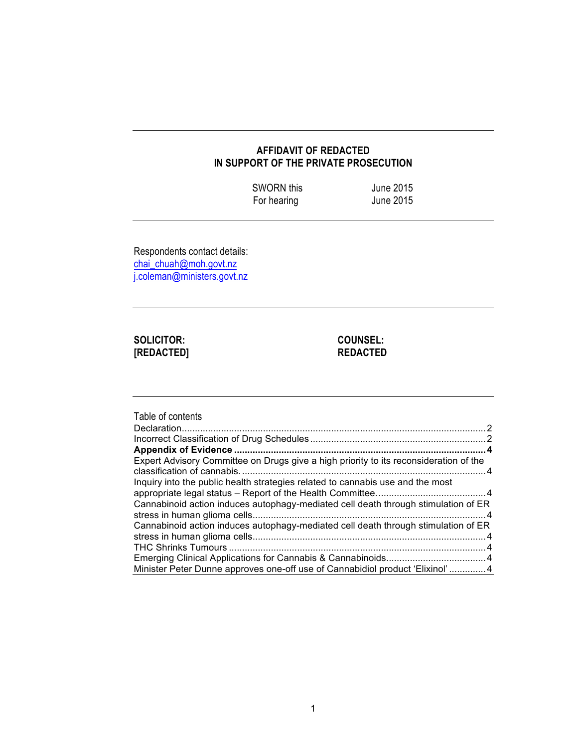# **AFFIDAVIT OF REDACTED IN SUPPORT OF THE PRIVATE PROSECUTION**

| <b>SWORN this</b> | June 2015 |
|-------------------|-----------|
| For hearing       | June 2015 |

Respondents contact details: chai\_chuah@moh.govt.nz j.coleman@ministers.govt.nz

# **SOLICITOR: COUNSEL: [REDACTED] REDACTED**

| Table of contents                                                                     |  |
|---------------------------------------------------------------------------------------|--|
|                                                                                       |  |
|                                                                                       |  |
| Expert Advisory Committee on Drugs give a high priority to its reconsideration of the |  |
|                                                                                       |  |
| Inquiry into the public health strategies related to cannabis use and the most        |  |
|                                                                                       |  |
| Cannabinoid action induces autophagy-mediated cell death through stimulation of ER    |  |
|                                                                                       |  |
| Cannabinoid action induces autophagy-mediated cell death through stimulation of ER    |  |
|                                                                                       |  |
|                                                                                       |  |
|                                                                                       |  |
| Minister Peter Dunne approves one-off use of Cannabidiol product 'Elixinol'4          |  |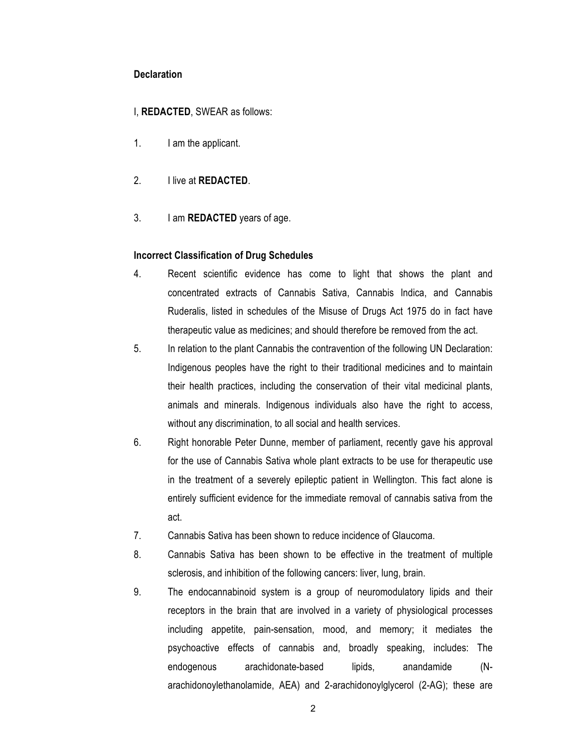## **Declaration**

# I, **REDACTED**, SWEAR as follows:

- 1. I am the applicant.
- 2. I live at **REDACTED**.
- 3. I am **REDACTED** years of age.

# **Incorrect Classification of Drug Schedules**

- 4. Recent scientific evidence has come to light that shows the plant and concentrated extracts of Cannabis Sativa, Cannabis Indica, and Cannabis Ruderalis, listed in schedules of the Misuse of Drugs Act 1975 do in fact have therapeutic value as medicines; and should therefore be removed from the act.
- 5. In relation to the plant Cannabis the contravention of the following UN Declaration: Indigenous peoples have the right to their traditional medicines and to maintain their health practices, including the conservation of their vital medicinal plants, animals and minerals. Indigenous individuals also have the right to access, without any discrimination, to all social and health services.
- 6. Right honorable Peter Dunne, member of parliament, recently gave his approval for the use of Cannabis Sativa whole plant extracts to be use for therapeutic use in the treatment of a severely epileptic patient in Wellington. This fact alone is entirely sufficient evidence for the immediate removal of cannabis sativa from the act.
- 7. Cannabis Sativa has been shown to reduce incidence of Glaucoma.
- 8. Cannabis Sativa has been shown to be effective in the treatment of multiple sclerosis, and inhibition of the following cancers: liver, lung, brain.
- 9. The endocannabinoid system is a group of neuromodulatory lipids and their receptors in the brain that are involved in a variety of physiological processes including appetite, pain-sensation, mood, and memory; it mediates the psychoactive effects of cannabis and, broadly speaking, includes: The endogenous arachidonate-based lipids, anandamide (Narachidonoylethanolamide, AEA) and 2-arachidonoylglycerol (2-AG); these are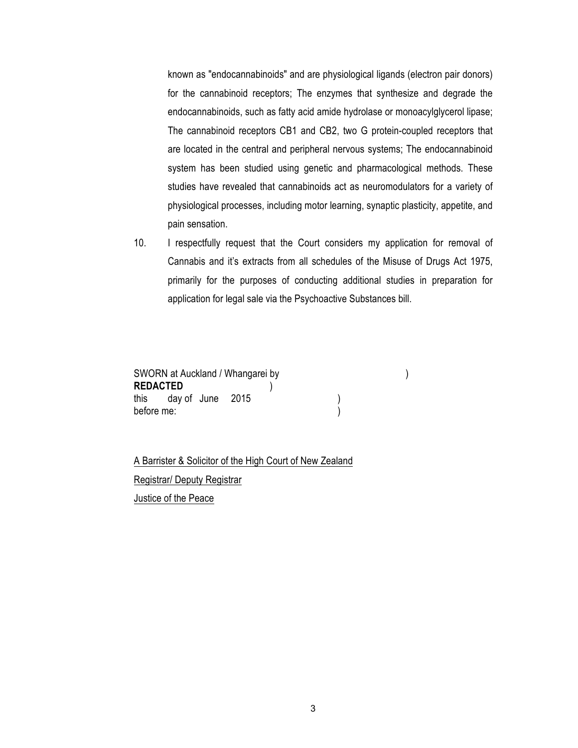known as "endocannabinoids" and are physiological ligands (electron pair donors) for the cannabinoid receptors; The enzymes that synthesize and degrade the endocannabinoids, such as fatty acid amide hydrolase or monoacylglycerol lipase; The cannabinoid receptors CB1 and CB2, two G protein-coupled receptors that are located in the central and peripheral nervous systems; The endocannabinoid system has been studied using genetic and pharmacological methods. These studies have revealed that cannabinoids act as neuromodulators for a variety of physiological processes, including motor learning, synaptic plasticity, appetite, and pain sensation.

10. I respectfully request that the Court considers my application for removal of Cannabis and it's extracts from all schedules of the Misuse of Drugs Act 1975, primarily for the purposes of conducting additional studies in preparation for application for legal sale via the Psychoactive Substances bill.

| SWORN at Auckland / Whangarei by |  |
|----------------------------------|--|
| <b>REDACTED</b>                  |  |
| this day of June 2015            |  |
| before me:                       |  |

A Barrister & Solicitor of the High Court of New Zealand Registrar/ Deputy Registrar Justice of the Peace